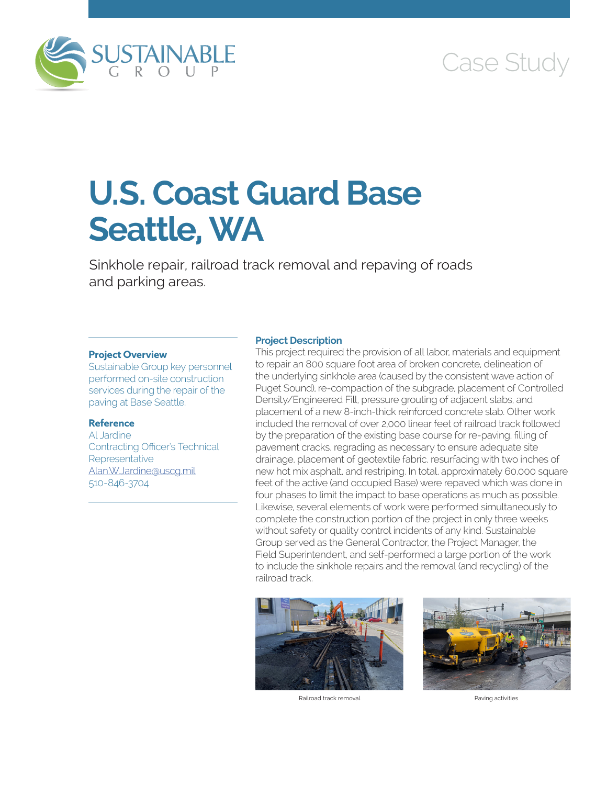

# Case Study

# **U.S. Coast Guard Base Seattle, WA**

Sinkhole repair, railroad track removal and repaving of roads and parking areas.

#### **Project Overview**

Sustainable Group key personnel performed on-site construction services during the repair of the paving at Base Seattle.

## **Reference**

Al Jardine Contracting Officer's Technical **Representative** [Alan.W.Jardine@uscg.mil](mailto:Alan.W.Jardine@uscg.mil) 510-846-3704

### **Project Description**

This project required the provision of all labor, materials and equipment to repair an 800 square foot area of broken concrete, delineation of the underlying sinkhole area (caused by the consistent wave action of Puget Sound), re-compaction of the subgrade, placement of Controlled Density/Engineered Fill, pressure grouting of adjacent slabs, and placement of a new 8-inch-thick reinforced concrete slab. Other work included the removal of over 2,000 linear feet of railroad track followed by the preparation of the existing base course for re-paving, filling of pavement cracks, regrading as necessary to ensure adequate site drainage, placement of geotextile fabric, resurfacing with two inches of new hot mix asphalt, and restriping. In total, approximately 60,000 square feet of the active (and occupied Base) were repaved which was done in four phases to limit the impact to base operations as much as possible. Likewise, several elements of work were performed simultaneously to complete the construction portion of the project in only three weeks without safety or quality control incidents of any kind. Sustainable Group served as the General Contractor, the Project Manager, the Field Superintendent, and self-performed a large portion of the work to include the sinkhole repairs and the removal (and recycling) of the railroad track.



Railroad track removal extensive proportion of the Paving activities